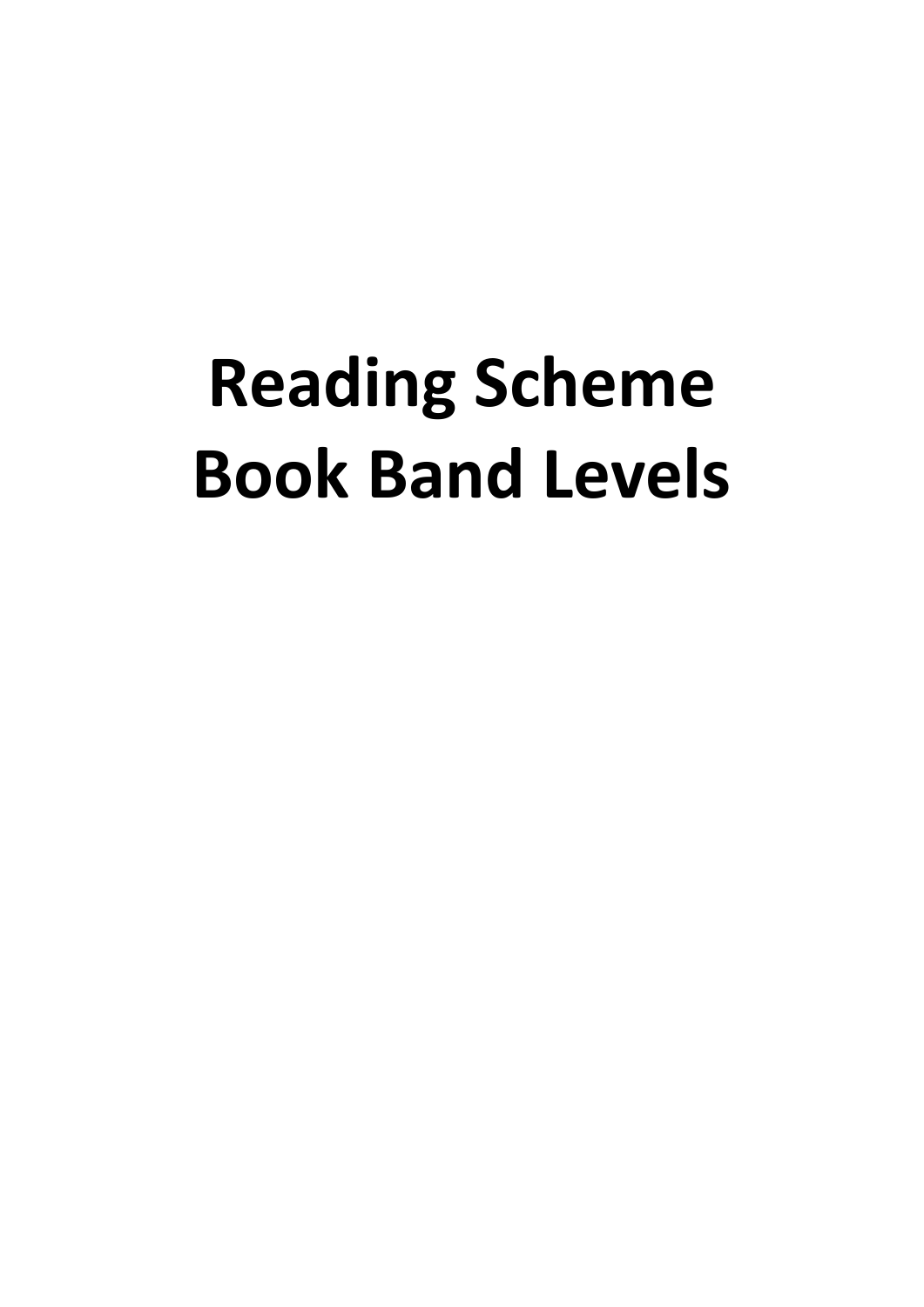# **Reading Scheme Book Band Levels**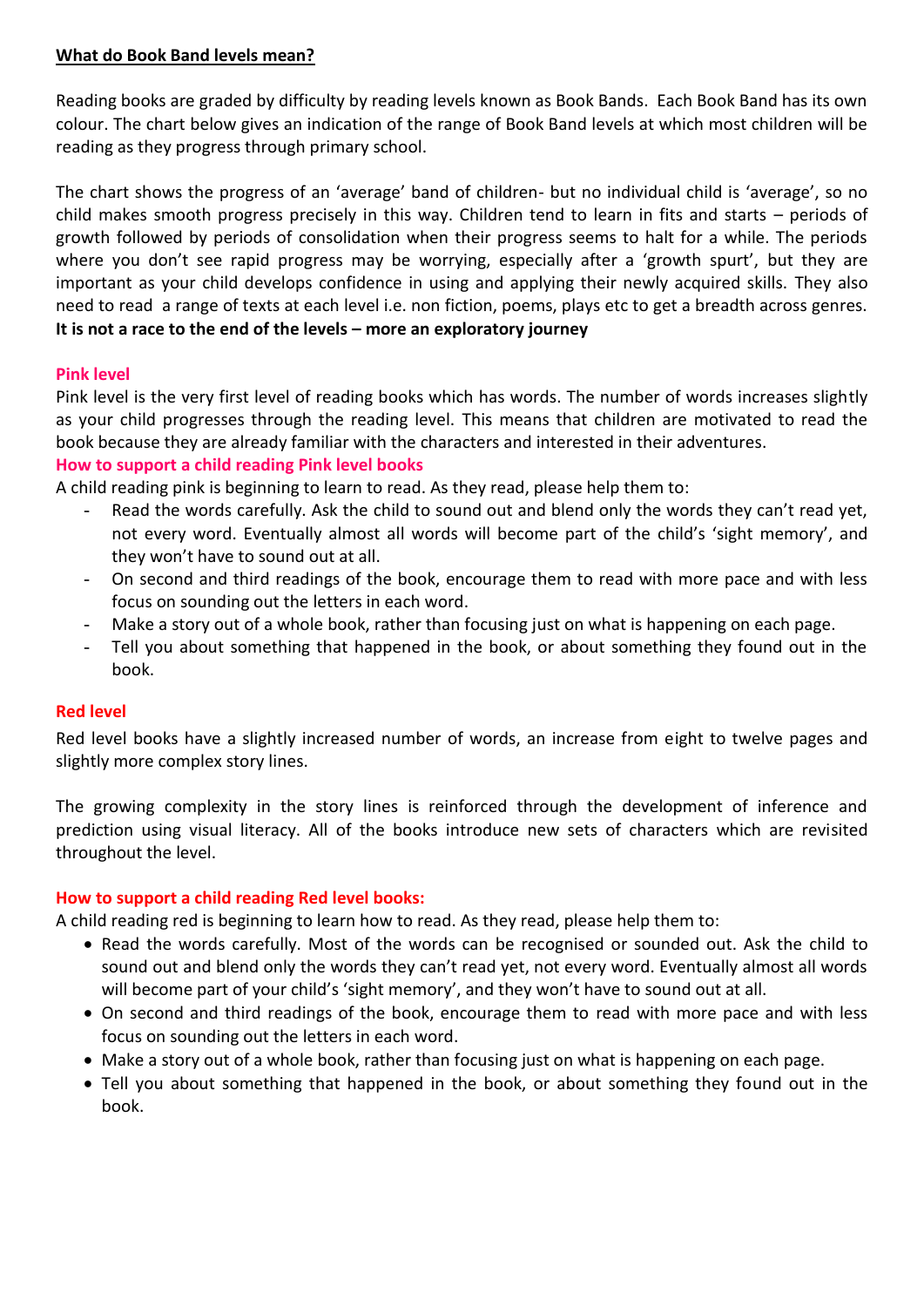## **What do Book Band levels mean?**

Reading books are graded by difficulty by reading levels known as Book Bands. Each Book Band has its own colour. The chart below gives an indication of the range of Book Band levels at which most children will be reading as they progress through primary school.

The chart shows the progress of an 'average' band of children- but no individual child is 'average', so no child makes smooth progress precisely in this way. Children tend to learn in fits and starts – periods of growth followed by periods of consolidation when their progress seems to halt for a while. The periods where you don't see rapid progress may be worrying, especially after a 'growth spurt', but they are important as your child develops confidence in using and applying their newly acquired skills. They also need to read a range of texts at each level i.e. non fiction, poems, plays etc to get a breadth across genres. **It is not a race to the end of the levels – more an exploratory journey**

#### **Pink level**

Pink level is the very first level of reading books which has words. The number of words increases slightly as your child progresses through the reading level. This means that children are motivated to read the book because they are already familiar with the characters and interested in their adventures.

#### **How to support a child reading Pink level books**

A child reading pink is beginning to learn to read. As they read, please help them to:

- Read the words carefully. Ask the child to sound out and blend only the words they can't read yet, not every word. Eventually almost all words will become part of the child's 'sight memory', and they won't have to sound out at all.
- On second and third readings of the book, encourage them to read with more pace and with less focus on sounding out the letters in each word.
- Make a story out of a whole book, rather than focusing just on what is happening on each page.
- Tell you about something that happened in the book, or about something they found out in the book.

#### **Red level**

Red level books have a slightly increased number of words, an increase from eight to twelve pages and slightly more complex story lines.

The growing complexity in the story lines is reinforced through the development of inference and prediction using visual literacy. All of the books introduce new sets of characters which are revisited throughout the level.

#### **How to support a child reading Red level books:**

A child reading red is beginning to learn how to read. As they read, please help them to:

- Read the words carefully. Most of the words can be recognised or sounded out. Ask the child to sound out and blend only the words they can't read yet, not every word. Eventually almost all words will become part of your child's 'sight memory', and they won't have to sound out at all.
- On second and third readings of the book, encourage them to read with more pace and with less focus on sounding out the letters in each word.
- Make a story out of a whole book, rather than focusing just on what is happening on each page.
- Tell you about something that happened in the book, or about something they found out in the book.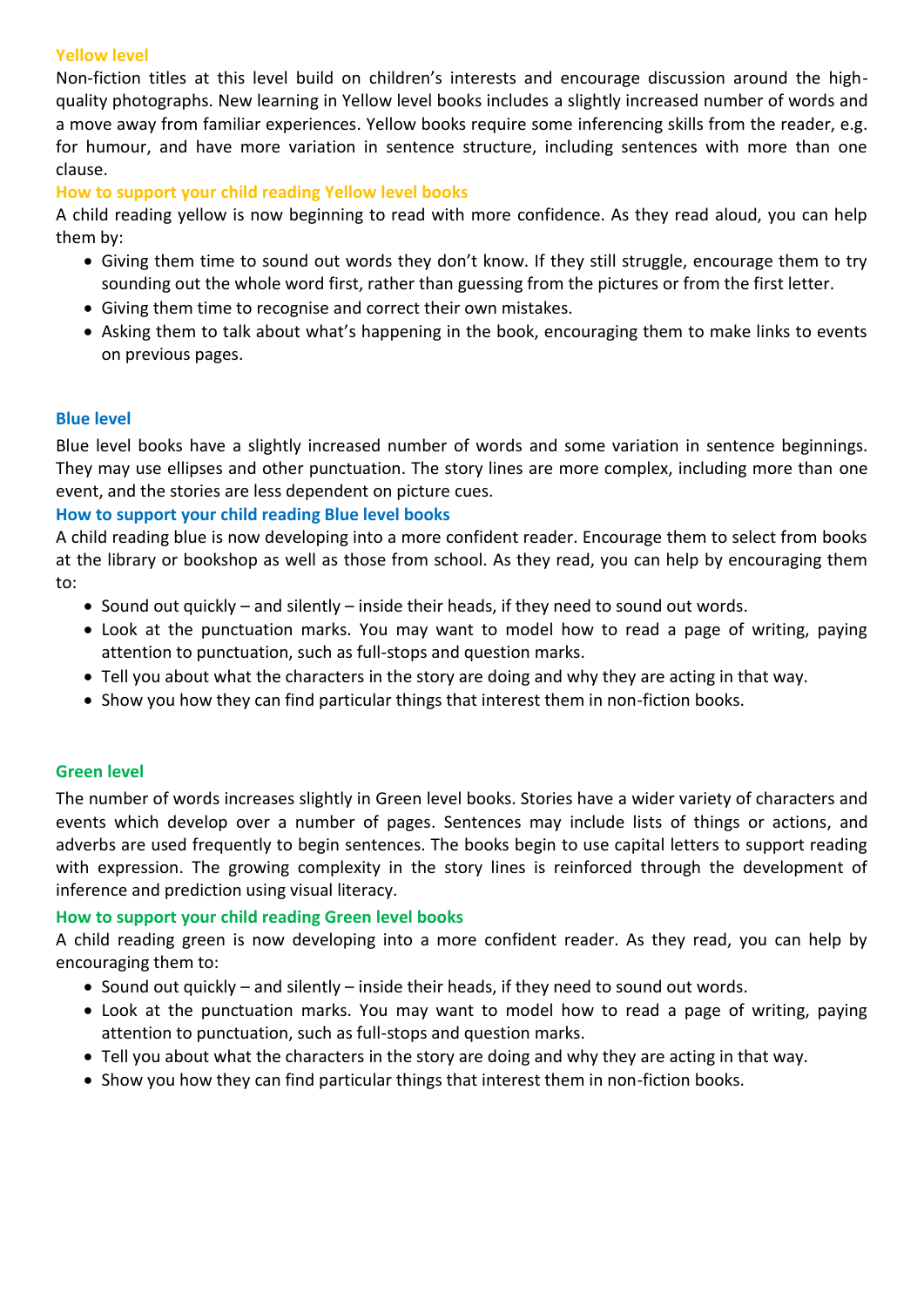#### **Yellow level**

Non-fiction titles at this level build on children's interests and encourage discussion around the highquality photographs. New learning in Yellow level books includes a slightly increased number of words and a move away from familiar experiences. Yellow books require some inferencing skills from the reader, e.g. for humour, and have more variation in sentence structure, including sentences with more than one clause.

#### **How to support your child reading Yellow level books**

A child reading yellow is now beginning to read with more confidence. As they read aloud, you can help them by:

- Giving them time to sound out words they don't know. If they still struggle, encourage them to try sounding out the whole word first, rather than guessing from the pictures or from the first letter.
- Giving them time to recognise and correct their own mistakes.
- Asking them to talk about what's happening in the book, encouraging them to make links to events on previous pages.

#### **Blue level**

Blue level books have a slightly increased number of words and some variation in sentence beginnings. They may use ellipses and other punctuation. The story lines are more complex, including more than one event, and the stories are less dependent on picture cues.

#### **How to support your child reading Blue level books**

A child reading blue is now developing into a more confident reader. Encourage them to select from books at the library or bookshop as well as those from school. As they read, you can help by encouraging them to:

- Sound out quickly and silently inside their heads, if they need to sound out words.
- Look at the punctuation marks. You may want to model how to read a page of writing, paying attention to punctuation, such as full-stops and question marks.
- Tell you about what the characters in the story are doing and why they are acting in that way.
- Show you how they can find particular things that interest them in non-fiction books.

## **Green level**

The number of words increases slightly in Green level books. Stories have a wider variety of characters and events which develop over a number of pages. Sentences may include lists of things or actions, and adverbs are used frequently to begin sentences. The books begin to use capital letters to support reading with expression. The growing complexity in the story lines is reinforced through the development of inference and prediction using visual literacy.

#### **How to support your child reading Green level books**

A child reading green is now developing into a more confident reader. As they read, you can help by encouraging them to:

- Sound out quickly and silently inside their heads, if they need to sound out words.
- Look at the punctuation marks. You may want to model how to read a page of writing, paying attention to punctuation, such as full-stops and question marks.
- Tell you about what the characters in the story are doing and why they are acting in that way.
- Show you how they can find particular things that interest them in non-fiction books.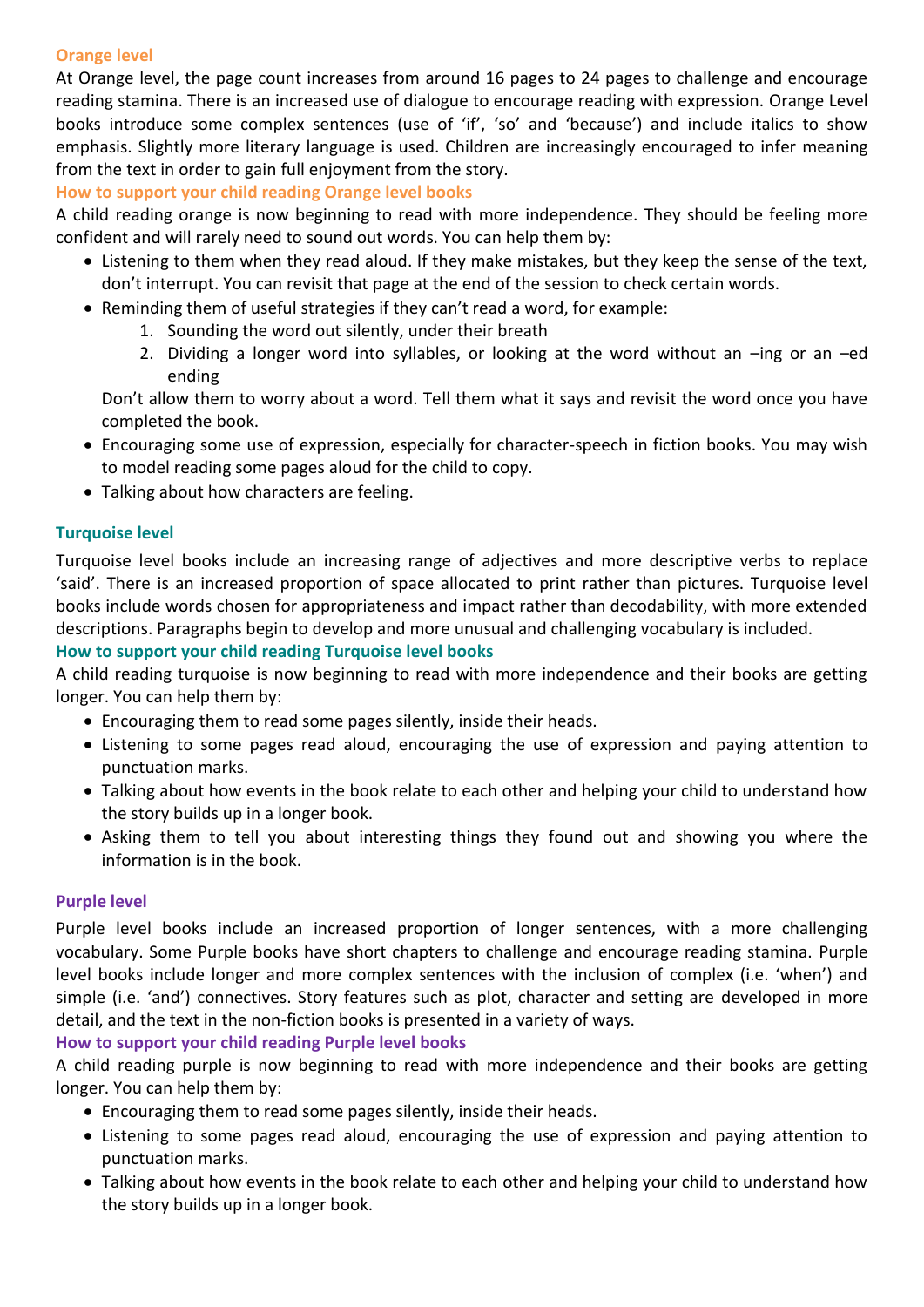## **Orange level**

At Orange level, the page count increases from around 16 pages to 24 pages to challenge and encourage reading stamina. There is an increased use of dialogue to encourage reading with expression. Orange Level books introduce some complex sentences (use of 'if', 'so' and 'because') and include italics to show emphasis. Slightly more literary language is used. Children are increasingly encouraged to infer meaning from the text in order to gain full enjoyment from the story.

#### **How to support your child reading Orange level books**

A child reading orange is now beginning to read with more independence. They should be feeling more confident and will rarely need to sound out words. You can help them by:

- Listening to them when they read aloud. If they make mistakes, but they keep the sense of the text, don't interrupt. You can revisit that page at the end of the session to check certain words.
- Reminding them of useful strategies if they can't read a word, for example:
	- 1. Sounding the word out silently, under their breath
	- 2. Dividing a longer word into syllables, or looking at the word without an –ing or an –ed ending

Don't allow them to worry about a word. Tell them what it says and revisit the word once you have completed the book.

- Encouraging some use of expression, especially for character-speech in fiction books. You may wish to model reading some pages aloud for the child to copy.
- Talking about how characters are feeling.

#### **Turquoise level**

Turquoise level books include an increasing range of adjectives and more descriptive verbs to replace 'said'. There is an increased proportion of space allocated to print rather than pictures. Turquoise level books include words chosen for appropriateness and impact rather than decodability, with more extended descriptions. Paragraphs begin to develop and more unusual and challenging vocabulary is included.

#### **How to support your child reading Turquoise level books**

A child reading turquoise is now beginning to read with more independence and their books are getting longer. You can help them by:

- Encouraging them to read some pages silently, inside their heads.
- Listening to some pages read aloud, encouraging the use of expression and paying attention to punctuation marks.
- Talking about how events in the book relate to each other and helping your child to understand how the story builds up in a longer book.
- Asking them to tell you about interesting things they found out and showing you where the information is in the book.

#### **Purple level**

Purple level books include an increased proportion of longer sentences, with a more challenging vocabulary. Some Purple books have short chapters to challenge and encourage reading stamina. Purple level books include longer and more complex sentences with the inclusion of complex (i.e. 'when') and simple (i.e. 'and') connectives. Story features such as plot, character and setting are developed in more detail, and the text in the non-fiction books is presented in a variety of ways.

## **How to support your child reading Purple level books**

A child reading purple is now beginning to read with more independence and their books are getting longer. You can help them by:

- Encouraging them to read some pages silently, inside their heads.
- Listening to some pages read aloud, encouraging the use of expression and paying attention to punctuation marks.
- Talking about how events in the book relate to each other and helping your child to understand how the story builds up in a longer book.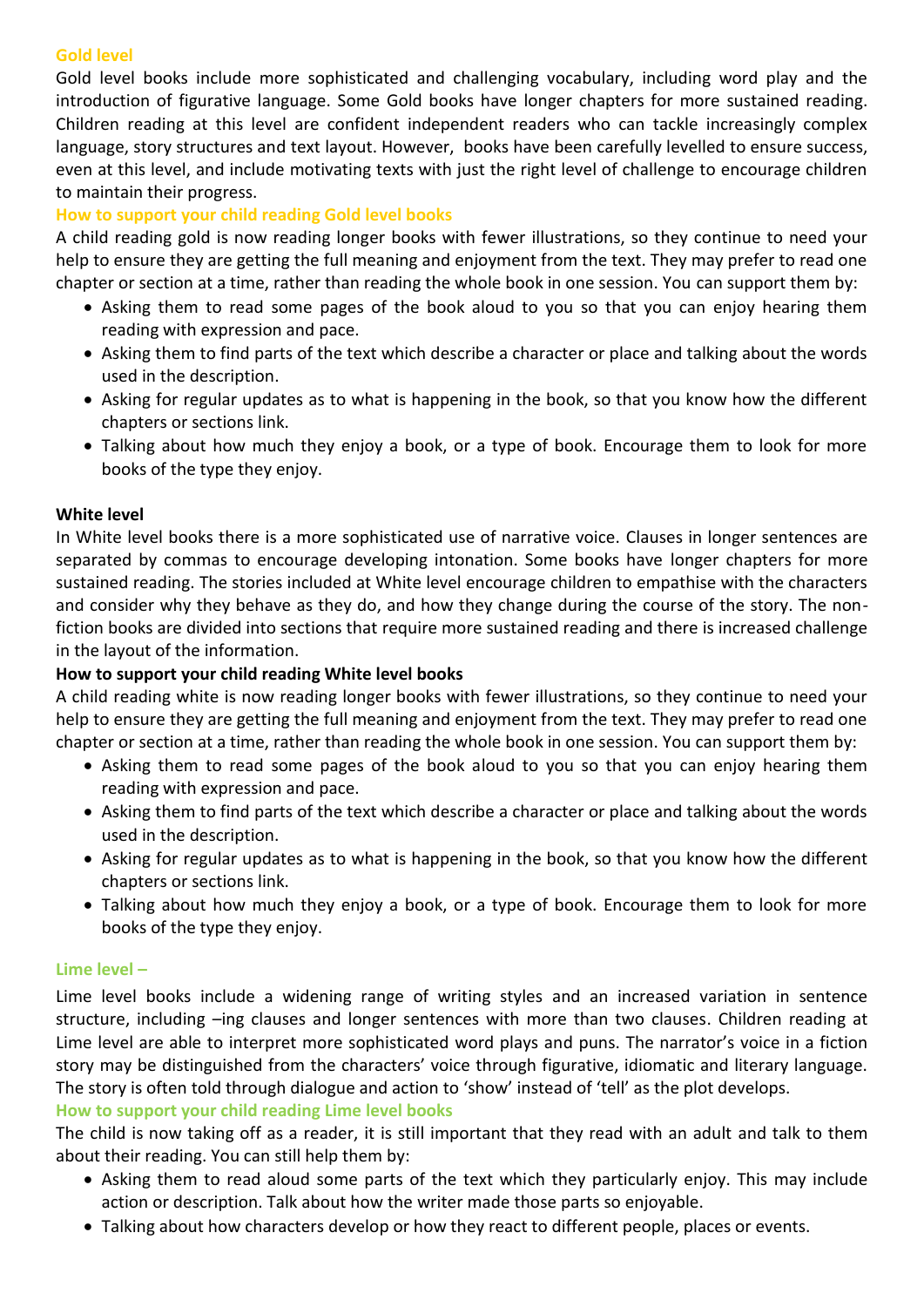## **Gold level**

Gold level books include more sophisticated and challenging vocabulary, including word play and the introduction of figurative language. Some Gold books have longer chapters for more sustained reading. Children reading at this level are confident independent readers who can tackle increasingly complex language, story structures and text layout. However, books have been carefully levelled to ensure success, even at this level, and include motivating texts with just the right level of challenge to encourage children to maintain their progress.

## **How to support your child reading Gold level books**

A child reading gold is now reading longer books with fewer illustrations, so they continue to need your help to ensure they are getting the full meaning and enjoyment from the text. They may prefer to read one chapter or section at a time, rather than reading the whole book in one session. You can support them by:

- Asking them to read some pages of the book aloud to you so that you can enjoy hearing them reading with expression and pace.
- Asking them to find parts of the text which describe a character or place and talking about the words used in the description.
- Asking for regular updates as to what is happening in the book, so that you know how the different chapters or sections link.
- Talking about how much they enjoy a book, or a type of book. Encourage them to look for more books of the type they enjoy.

#### **White level**

In White level books there is a more sophisticated use of narrative voice. Clauses in longer sentences are separated by commas to encourage developing intonation. Some books have longer chapters for more sustained reading. The stories included at White level encourage children to empathise with the characters and consider why they behave as they do, and how they change during the course of the story. The nonfiction books are divided into sections that require more sustained reading and there is increased challenge in the layout of the information.

#### **How to support your child reading White level books**

A child reading white is now reading longer books with fewer illustrations, so they continue to need your help to ensure they are getting the full meaning and enjoyment from the text. They may prefer to read one chapter or section at a time, rather than reading the whole book in one session. You can support them by:

- Asking them to read some pages of the book aloud to you so that you can enjoy hearing them reading with expression and pace.
- Asking them to find parts of the text which describe a character or place and talking about the words used in the description.
- Asking for regular updates as to what is happening in the book, so that you know how the different chapters or sections link.
- Talking about how much they enjoy a book, or a type of book. Encourage them to look for more books of the type they enjoy.

#### **Lime level –**

Lime level books include a widening range of writing styles and an increased variation in sentence structure, including –ing clauses and longer sentences with more than two clauses. Children reading at Lime level are able to interpret more sophisticated word plays and puns. The narrator's voice in a fiction story may be distinguished from the characters' voice through figurative, idiomatic and literary language. The story is often told through dialogue and action to 'show' instead of 'tell' as the plot develops.

#### **How to support your child reading Lime level books**

The child is now taking off as a reader, it is still important that they read with an adult and talk to them about their reading. You can still help them by:

- Asking them to read aloud some parts of the text which they particularly enjoy. This may include action or description. Talk about how the writer made those parts so enjoyable.
- Talking about how characters develop or how they react to different people, places or events.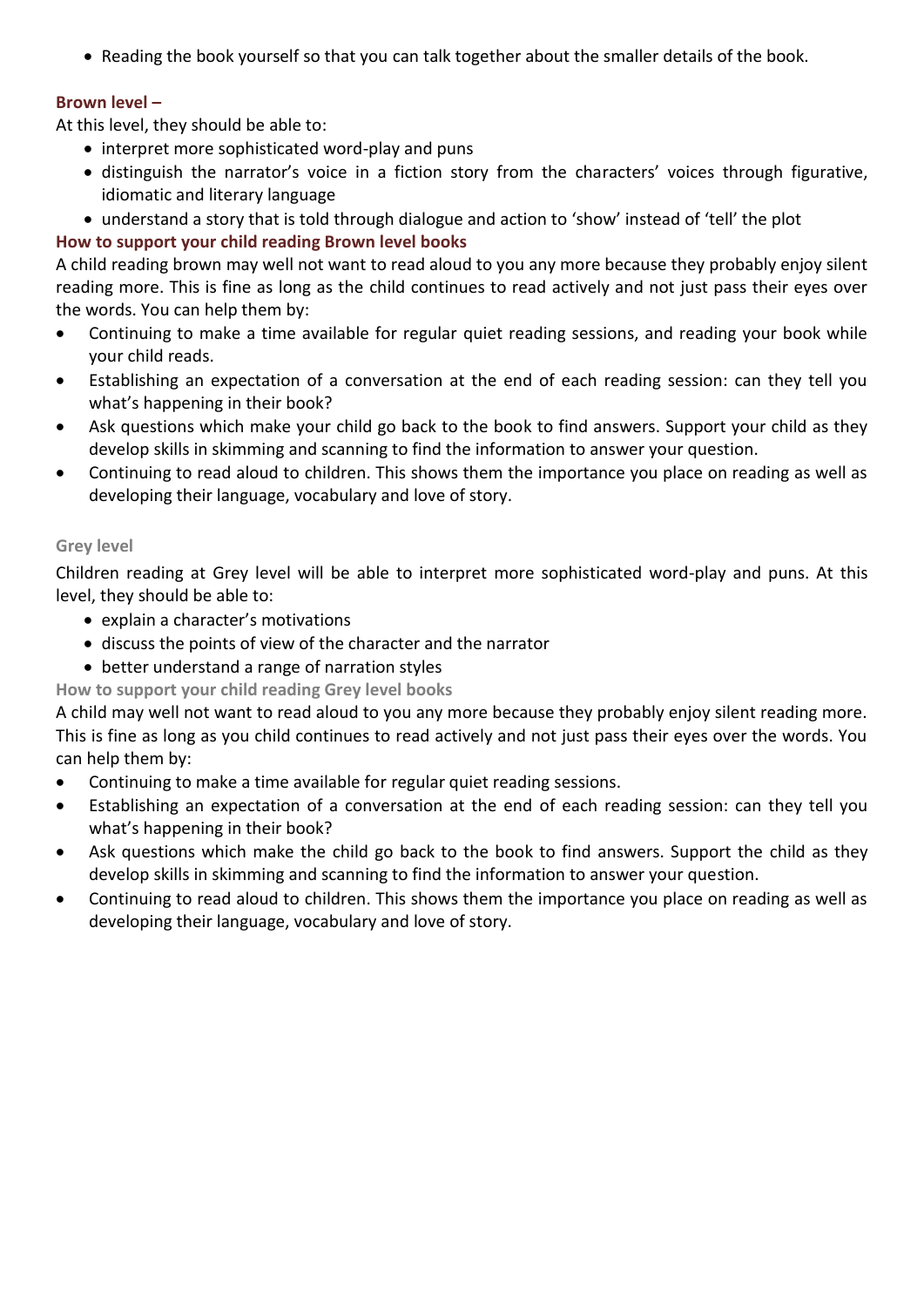Reading the book yourself so that you can talk together about the smaller details of the book.

## **Brown level –**

At this level, they should be able to:

- interpret more sophisticated word-play and puns
- distinguish the narrator's voice in a fiction story from the characters' voices through figurative, idiomatic and literary language
- understand a story that is told through dialogue and action to 'show' instead of 'tell' the plot

# **How to support your child reading Brown level books**

A child reading brown may well not want to read aloud to you any more because they probably enjoy silent reading more. This is fine as long as the child continues to read actively and not just pass their eyes over the words. You can help them by:

- Continuing to make a time available for regular quiet reading sessions, and reading your book while your child reads.
- Establishing an expectation of a conversation at the end of each reading session: can they tell you what's happening in their book?
- Ask questions which make your child go back to the book to find answers. Support your child as they develop skills in skimming and scanning to find the information to answer your question.
- Continuing to read aloud to children. This shows them the importance you place on reading as well as developing their language, vocabulary and love of story.

## **Grey level**

Children reading at Grey level will be able to interpret more sophisticated word-play and puns. At this level, they should be able to:

- explain a character's motivations
- discuss the points of view of the character and the narrator
- better understand a range of narration styles

# **How to support your child reading Grey level books**

A child may well not want to read aloud to you any more because they probably enjoy silent reading more. This is fine as long as you child continues to read actively and not just pass their eyes over the words. You can help them by:

- Continuing to make a time available for regular quiet reading sessions.
- Establishing an expectation of a conversation at the end of each reading session: can they tell you what's happening in their book?
- Ask questions which make the child go back to the book to find answers. Support the child as they develop skills in skimming and scanning to find the information to answer your question.
- Continuing to read aloud to children. This shows them the importance you place on reading as well as developing their language, vocabulary and love of story.